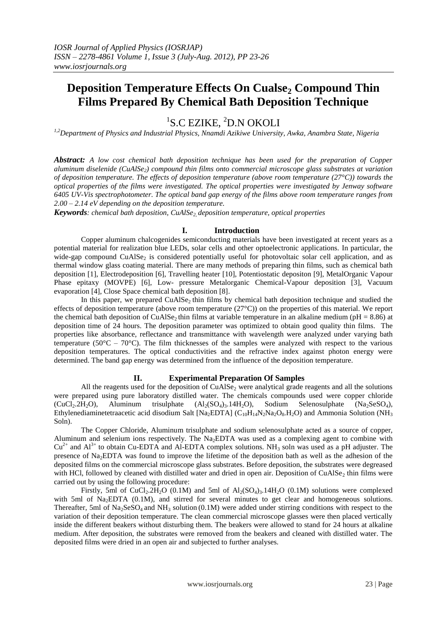# **Deposition Temperature Effects On Cualse<sup>2</sup> Compound Thin Films Prepared By Chemical Bath Deposition Technique**

# <sup>1</sup>S.C EZIKE, <sup>2</sup>D.N OKOLI

*1,2Department of Physics and Industrial Physics, Nnamdi Azikiwe University, Awka, Anambra State, Nigeria*

*Abstract: A low cost chemical bath deposition technique has been used for the preparation of Copper aluminum diselenide (CuAlSe2) compound thin films onto commercial microscope glass substrates at variation of deposition temperature. The effects of deposition temperature (above room temperature (27°C)) towards the optical properties of the films were investigated. The optical properties were investigated by Jenway software 6405 UV-Vis spectrophotometer. The optical band gap energy of the films above room temperature ranges from 2.00 – 2.14 eV depending on the deposition temperature.* 

*Keywords: chemical bath deposition, CuAlSe2, deposition temperature, optical properties*

## **I. Introduction**

Copper aluminum chalcogenides semiconducting materials have been investigated at recent years as a potential material for realization blue LEDs, solar cells and other optoelectronic applications. In particular, the wide-gap compound  $CuAISe<sub>2</sub>$  is considered potentially useful for photovoltaic solar cell application, and as thermal window glass coating material. There are many methods of preparing thin films, such as chemical bath deposition [1], Electrodeposition [6], Travelling heater [10], Potentiostatic depositon [9], MetalOrganic Vapour Phase epitaxy (MOVPE) [6], Low- pressure Metalorganic Chemical-Vapour deposition [3], Vacuum evaporation [4], Close Space chemical bath deposition [8].

In this paper, we prepared CuAlSe<sub>2</sub> thin films by chemical bath deposition technique and studied the effects of deposition temperature (above room temperature (27°C)) on the properties of this material. We report the chemical bath deposition of CuAlSe<sub>2</sub> thin films at variable temperature in an alkaline medium ( $pH = 8.86$ ) at deposition time of 24 hours. The deposition parameter was optimized to obtain good quality thin films. The properties like absorbance, reflectance and transmittance with wavelength were analyzed under varying bath temperature (50 $^{\circ}$ C – 70 $^{\circ}$ C). The film thicknesses of the samples were analyzed with respect to the various deposition temperatures. The optical conductivities and the refractive index against photon energy were determined. The band gap energy was determined from the influence of the deposition temperature.

## **II. Experimental Preparation Of Samples**

All the reagents used for the deposition of  $Cu$ AlSe<sub>2</sub> were analytical grade reagents and all the solutions were prepared using pure laboratory distilled water. The chemicals compounds used were copper chloride  $(CuCl<sub>2</sub>.2H<sub>2</sub>O)$ , Aluminum trisulphate  $(Al<sub>2</sub>(SO<sub>4</sub>)<sub>3</sub>.14H<sub>2</sub>O)$ , Sodium Selenosulphate (Na<sub>2</sub>SeSO<sub>4</sub>), Ethylenediaminetetraacetic acid disodium Salt [Na<sub>2</sub>EDTA] (C<sub>10</sub>H<sub>14</sub>N<sub>2</sub>Na<sub>2</sub>O<sub>8</sub>.H<sub>2</sub>O) and Ammonia Solution (NH<sub>3</sub> Soln).

The Copper Chloride, Aluminum trisulphate and sodium selenosulphate acted as a source of copper, Aluminum and selenium ions respectively. The Na<sub>2</sub>EDTA was used as a complexing agent to combine with  $Cu^{2+}$  and  $Al^{3+}$  to obtain Cu-EDTA and Al-EDTA complex solutions. NH<sub>3</sub> soln was used as a pH adjuster. The presence of Na2EDTA was found to improve the lifetime of the deposition bath as well as the adhesion of the deposited films on the commercial microscope glass substrates. Before deposition, the substrates were degreased with HCl, followed by cleaned with distilled water and dried in open air. Deposition of CuAlSe<sub>2</sub> thin films were carried out by using the following procedure:

Firstly, 5ml of CuCl<sub>2</sub>.2H<sub>2</sub>O (0.1M) and 5ml of  $Al_2(SO_4)_3.14H_2O$  (0.1M) solutions were complexed with 5ml of Na<sub>2</sub>EDTA (0.1M), and stirred for several minutes to get clear and homogeneous solutions. Thereafter, 5ml of  $Na<sub>2</sub>SeSO<sub>4</sub>$  and  $NH<sub>3</sub>$  solution (0.1M) were added under stirring conditions with respect to the variation of their deposition temperature. The clean commercial microscope glasses were then placed vertically inside the different beakers without disturbing them. The beakers were allowed to stand for 24 hours at alkaline medium. After deposition, the substrates were removed from the beakers and cleaned with distilled water. The deposited films were dried in an open air and subjected to further analyses.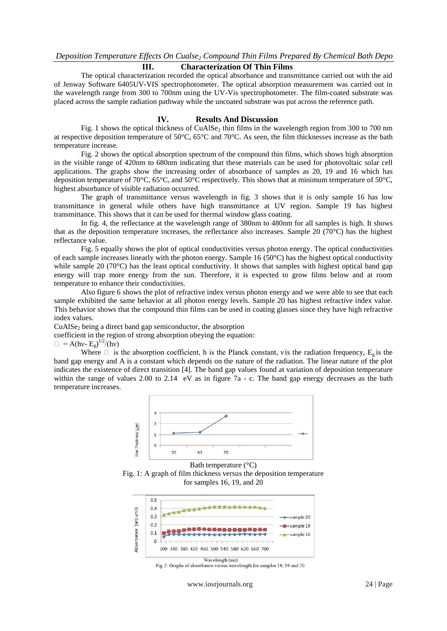# **III. Characterization Of Thin Films**

The optical characterization recorded the optical absorbance and transmittance carried out with the aid of Jenway Software 6405UV-VIS spectrophotometer. The optical absorption measurement was carried out in the wavelength range from 300 to 700nm using the UV-Vis spectrophotometer. The film-coated substrate was placed across the sample radiation pathway while the uncoated substrate was put across the reference path.

### **IV. Results And Discussion**

Fig. 1 shows the optical thickness of CuAlSe<sub>2</sub> thin films in the wavelength region from 300 to 700 nm at respective deposition temperature of 50°C, 65°C and 70°C. As seen, the film thicknesses increase as the bath temperature increase.

Fig. 2 shows the optical absorption spectrum of the compound thin films, which shows high absorption in the visible range of 420nm to 680nm indicating that these materials can be used for photovoltaic solar cell applications. The graphs show the increasing order of absorbance of samples as 20, 19 and 16 which has deposition temperature of 70°C, 65°C, and 50°C respectively. This shows that at minimum temperature of 50°C, highest absorbance of visible radiation occurred.

The graph of transmittance versus wavelength in fig. 3 shows that it is only sample 16 has low transmittance in general while others have high transmittance at UV region. Sample 19 has highest transmittance. This shows that it can be used for thermal window glass coating.

In fig. 4, the reflectance at the wavelength range of 380nm to 480nm for all samples is high. It shows that as the deposition temperature increases, the reflectance also increases. Sample 20 (70°C) has the highest reflectance value.

Fig. 5 equally shows the plot of optical conductivities versus photon energy. The optical conductivities of each sample increases linearly with the photon energy. Sample 16 (50°C) has the highest optical conductivity while sample 20 (70°C) has the least optical conductivity. It shows that samples with highest optical band gap energy will trap more energy from the sun. Therefore, it is expected to grow films below and at room temperature to enhance their conductivities.

Also figure 6 shows the plot of refractive index versus photon energy and we were able to see that each sample exhibited the same behavior at all photon energy levels. Sample 20 has highest refractive index value. This behavior shows that the compound thin films can be used in coating glasses since they have high refractive index values.

CuAlSe<sub>2</sub> being a direct band gap semiconductor, the absorption

coefficient in the region of strong absorption obeying the equation:

 $\Box$  = A(hv- E<sub>g</sub>)<sup>1/2</sup>/(hv)

Where  $\Box$  is the absorption coefficient, h is the Planck constant, v is the radiation frequency,  $E_{\sigma}$  is the band gap energy and A is a constant which depends on the nature of the radiation. The linear nature of the plot indicates the existence of direct transition [4]. The band gap values found at variation of deposition temperature within the range of values 2.00 to 2.14 eV as in figure  $7a - c$ . The band gap energy decreases as the bath temperature increases.







Fig. 2: Graphs of absorbance versus wavelength for samples 16, 19 and 20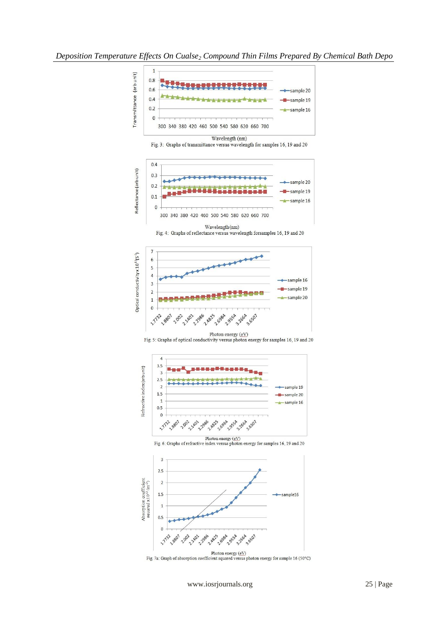![](_page_2_Figure_2.jpeg)

![](_page_2_Figure_4.jpeg)

 $\begin{array}{c} \textbf{Photo energy (g,y)}\\ \textbf{Fig. 5: Graphs of optical conductivity versus photon energy for samples 16, 19 and 20}\end{array}$ 

![](_page_2_Figure_6.jpeg)

Fig. 4: Graphs of reflectance versus wavelength forsamples 16, 19 and 20

300 340 380 420 460 500 540 580 620 660 700 Wavelength (nm)

![](_page_2_Figure_8.jpeg)

Fig. 3: Graphs of transmittance versus wavelength for samples 16, 19 and 20

 $0.4$ 

 $0.3$ 

 $0.2$ 

 $0.1$ 

 $\Omega$ 

Reflectance (arb unit)

sample 20

sample 19

sample 16